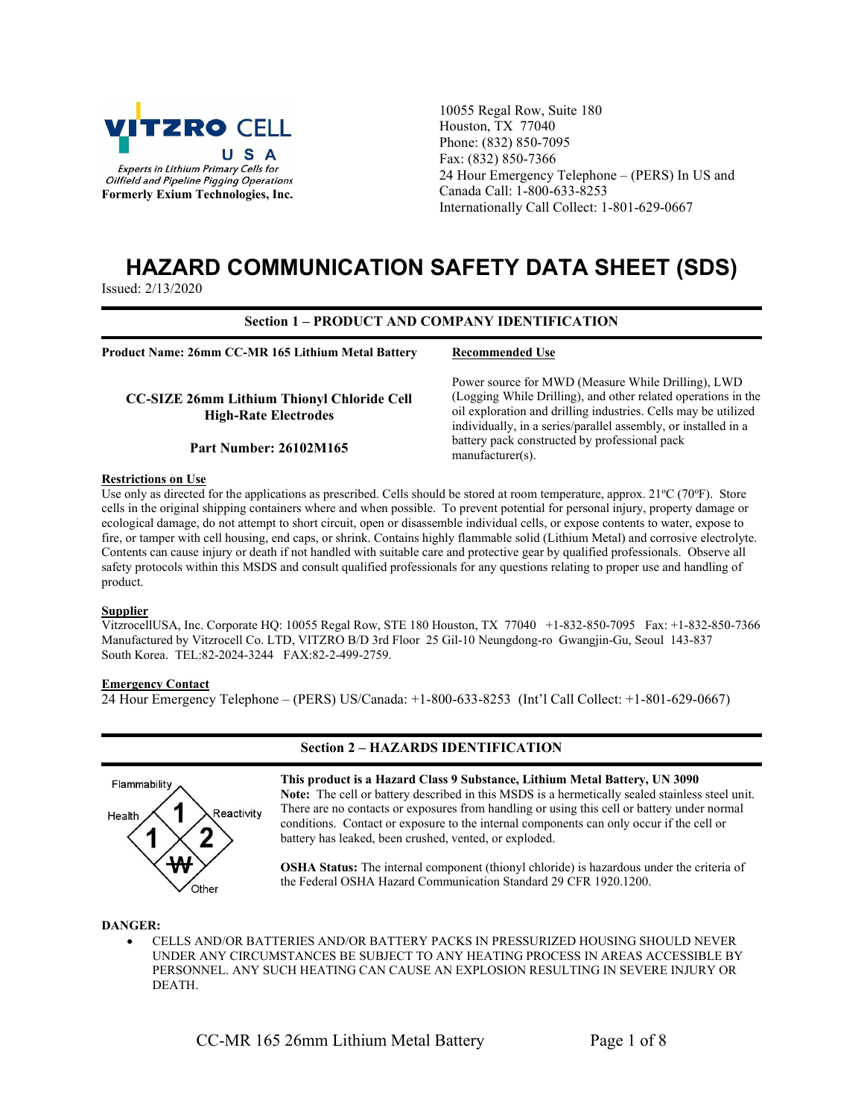

10055 Regal Row, Suite 180 Houston, TX 77040 Phone: (832) 850-7095 Fax: (832) 850-7366 24 Hour Emergency Telephone – (PERS) In US and Canada Call: 1-800-633-8253 Internationally Call Collect: 1-801-629-0667

# HAZARD COMMUNICATION SAFETY DATA SHEET (SDS)

Issued: 2/13/2020

#### Section 1 – PRODUCT AND COMPANY IDENTIFICATION

Product Name: 26mm CC-MR 165 Lithium Metal Battery

CC-SIZE 26mm Lithium Thionyl Chloride Cell High-Rate Electrodes

Part Number: 26102M165

Recommended Use

Power source for MWD (Measure While Drilling), LWD (Logging While Drilling), and other related operations in the oil exploration and drilling industries. Cells may be utilized individually, in a series/parallel assembly, or installed in a battery pack constructed by professional pack manufacturer(s).

#### Restrictions on Use

Use only as directed for the applications as prescribed. Cells should be stored at room temperature, approx.  $21^{\circ}C$  (70°F). Store cells in the original shipping containers where and when possible. To prevent potential for personal injury, property damage or ecological damage, do not attempt to short circuit, open or disassemble individual cells, or expose contents to water, expose to fire, or tamper with cell housing, end caps, or shrink. Contains highly flammable solid (Lithium Metal) and corrosive electrolyte. Contents can cause injury or death if not handled with suitable care and protective gear by qualified professionals. Observe all safety protocols within this MSDS and consult qualified professionals for any questions relating to proper use and handling of product.

# **Supplier**

VitzrocellUSA, Inc. Corporate HQ: 10055 Regal Row, STE 180 Houston, TX 77040 +1-832-850-7095 Fax: +1-832-850-7366 Manufactured by Vitzrocell Co. LTD, VITZRO B/D 3rd Floor 25 Gil-10 Neungdong-ro Gwangjin-Gu, Seoul 143-837 South Korea. TEL:82-2024-3244 FAX:82-2-499-2759.

#### **Emergency Contact**

24 Hour Emergency Telephone – (PERS) US/Canada: +1-800-633-8253 (Int'l Call Collect: +1-801-629-0667)



## Section 2 – HAZARDS IDENTIFICATION

This product is a Hazard Class 9 Substance, Lithium Metal Battery, UN 3090 Note: The cell or battery described in this MSDS is a hermetically sealed stainless steel unit. There are no contacts or exposures from handling or using this cell or battery under normal conditions. Contact or exposure to the internal components can only occur if the cell or battery has leaked, been crushed, vented, or exploded.

OSHA Status: The internal component (thionyl chloride) is hazardous under the criteria of the Federal OSHA Hazard Communication Standard 29 CFR 1920.1200.

#### DANGER:

 CELLS AND/OR BATTERIES AND/OR BATTERY PACKS IN PRESSURIZED HOUSING SHOULD NEVER UNDER ANY CIRCUMSTANCES BE SUBJECT TO ANY HEATING PROCESS IN AREAS ACCESSIBLE BY PERSONNEL. ANY SUCH HEATING CAN CAUSE AN EXPLOSION RESULTING IN SEVERE INJURY OR DEATH.

CC-MR 165 26mm Lithium Metal Battery Page 1 of 8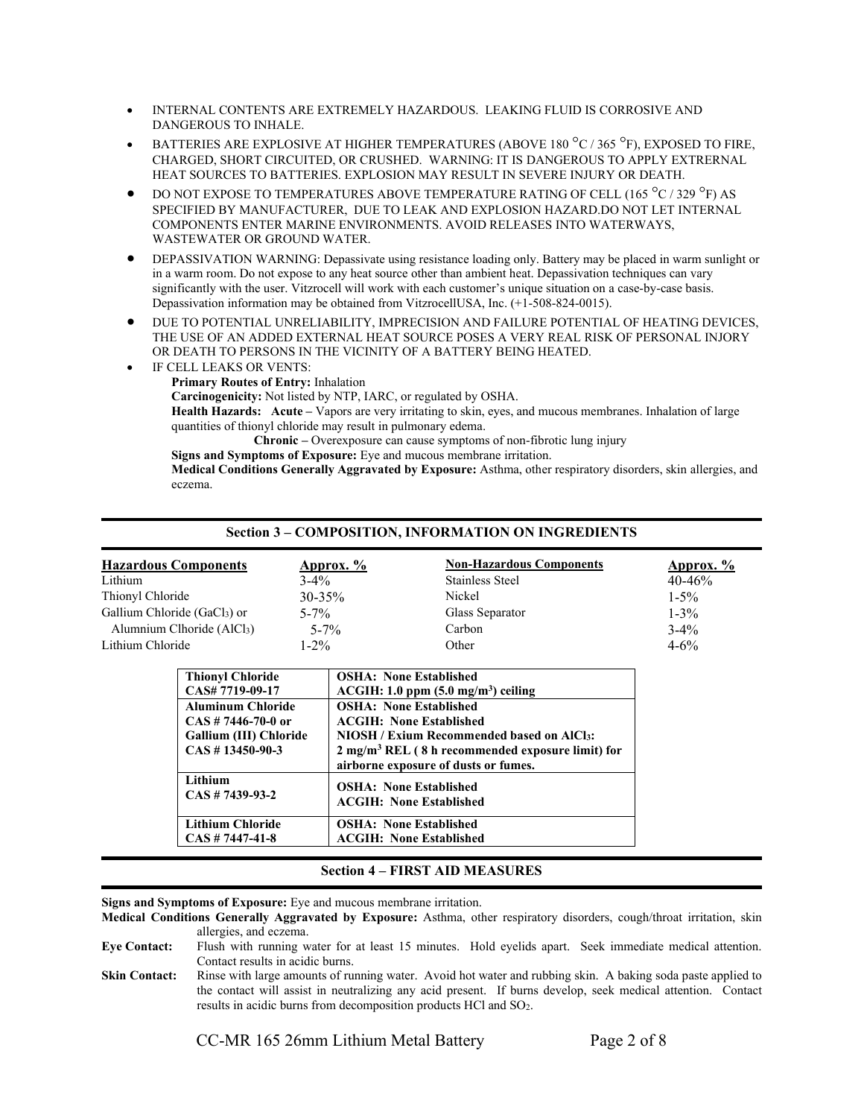- INTERNAL CONTENTS ARE EXTREMELY HAZARDOUS. LEAKING FLUID IS CORROSIVE AND DANGEROUS TO INHALE.
- BATTERIES ARE EXPLOSIVE AT HIGHER TEMPERATURES (ABOVE 180 °C / 365 °F), EXPOSED TO FIRE, CHARGED, SHORT CIRCUITED, OR CRUSHED. WARNING: IT IS DANGEROUS TO APPLY EXTRERNAL HEAT SOURCES TO BATTERIES. EXPLOSION MAY RESULT IN SEVERE INJURY OR DEATH.
- DO NOT EXPOSE TO TEMPERATURES ABOVE TEMPERATURE RATING OF CELL (165  $^{\circ}$ C / 329  $^{\circ}$ F) AS SPECIFIED BY MANUFACTURER, DUE TO LEAK AND EXPLOSION HAZARD.DO NOT LET INTERNAL COMPONENTS ENTER MARINE ENVIRONMENTS. AVOID RELEASES INTO WATERWAYS, WASTEWATER OR GROUND WATER.
- DEPASSIVATION WARNING: Depassivate using resistance loading only. Battery may be placed in warm sunlight or in a warm room. Do not expose to any heat source other than ambient heat. Depassivation techniques can vary significantly with the user. Vitzrocell will work with each customer's unique situation on a case-by-case basis. Depassivation information may be obtained from VitzrocellUSA, Inc. (+1-508-824-0015).
- DUE TO POTENTIAL UNRELIABILITY, IMPRECISION AND FAILURE POTENTIAL OF HEATING DEVICES, THE USE OF AN ADDED EXTERNAL HEAT SOURCE POSES A VERY REAL RISK OF PERSONAL INJORY OR DEATH TO PERSONS IN THE VICINITY OF A BATTERY BEING HEATED.
- IF CELL LEAKS OR VENTS:
	- Primary Routes of Entry: Inhalation
	- Carcinogenicity: Not listed by NTP, IARC, or regulated by OSHA.

Health Hazards: Acute – Vapors are very irritating to skin, eyes, and mucous membranes. Inhalation of large quantities of thionyl chloride may result in pulmonary edema.

Chronic – Overexposure can cause symptoms of non-fibrotic lung injury

Signs and Symptoms of Exposure: Eye and mucous membrane irritation.

Medical Conditions Generally Aggravated by Exposure: Asthma, other respiratory disorders, skin allergies, and eczema.

| <b>Section 3 - COMPOSITION, INFORMATION ON INGREDIENTS</b> |                                 |            |  |  |
|------------------------------------------------------------|---------------------------------|------------|--|--|
|                                                            | <b>Non-Hazardous Components</b> | Approx. %  |  |  |
| $3-4\%$                                                    | <b>Stainless Steel</b>          | $40 - 46%$ |  |  |
| $30 - 35\%$                                                | Nickel                          | $1 - 5\%$  |  |  |
| $5 - 7\%$                                                  | Glass Separator                 | $1 - 3\%$  |  |  |
| $5 - 7\%$                                                  | Carbon                          | $3 - 4\%$  |  |  |
| $1 - 2\%$                                                  | Other                           | $4 - 6\%$  |  |  |
|                                                            | Approx. $\frac{6}{6}$           |            |  |  |

| <b>Thionyl Chloride</b>  | <b>OSHA: None Established</b>                               |
|--------------------------|-------------------------------------------------------------|
| CAS# 7719-09-17          | $ACGIH: 1.0 ppm (5.0 mg/m3)$ ceiling                        |
| <b>Aluminum Chloride</b> | <b>OSHA: None Established</b>                               |
| $CAS \# 7446-70-0$ or    | <b>ACGIH: None Established</b>                              |
| Gallium (III) Chloride   | <b>NIOSH / Exium Recommended based on AICI3:</b>            |
| $CAS \# 13450 - 90 - 3$  | $2 \text{ mg/m}^3$ REL (8 h recommended exposure limit) for |
|                          | airborne exposure of dusts or fumes.                        |
| Lithium                  | <b>OSHA: None Established</b>                               |
| $CAS \# 7439-93-2$       |                                                             |
|                          | <b>ACGIH: None Established</b>                              |
| <b>Lithium Chloride</b>  | <b>OSHA: None Established</b>                               |
| $CAS \# 7447 - 41 - 8$   | <b>ACGIH: None Established</b>                              |
|                          |                                                             |

## Section 4 – FIRST AID MEASURES

Signs and Symptoms of Exposure: Eye and mucous membrane irritation.

Medical Conditions Generally Aggravated by Exposure: Asthma, other respiratory disorders, cough/throat irritation, skin allergies, and eczema.

Eye Contact: Flush with running water for at least 15 minutes. Hold eyelids apart. Seek immediate medical attention. Contact results in acidic burns.

Skin Contact: Rinse with large amounts of running water. Avoid hot water and rubbing skin. A baking soda paste applied to the contact will assist in neutralizing any acid present. If burns develop, seek medical attention. Contact results in acidic burns from decomposition products HCl and SO2.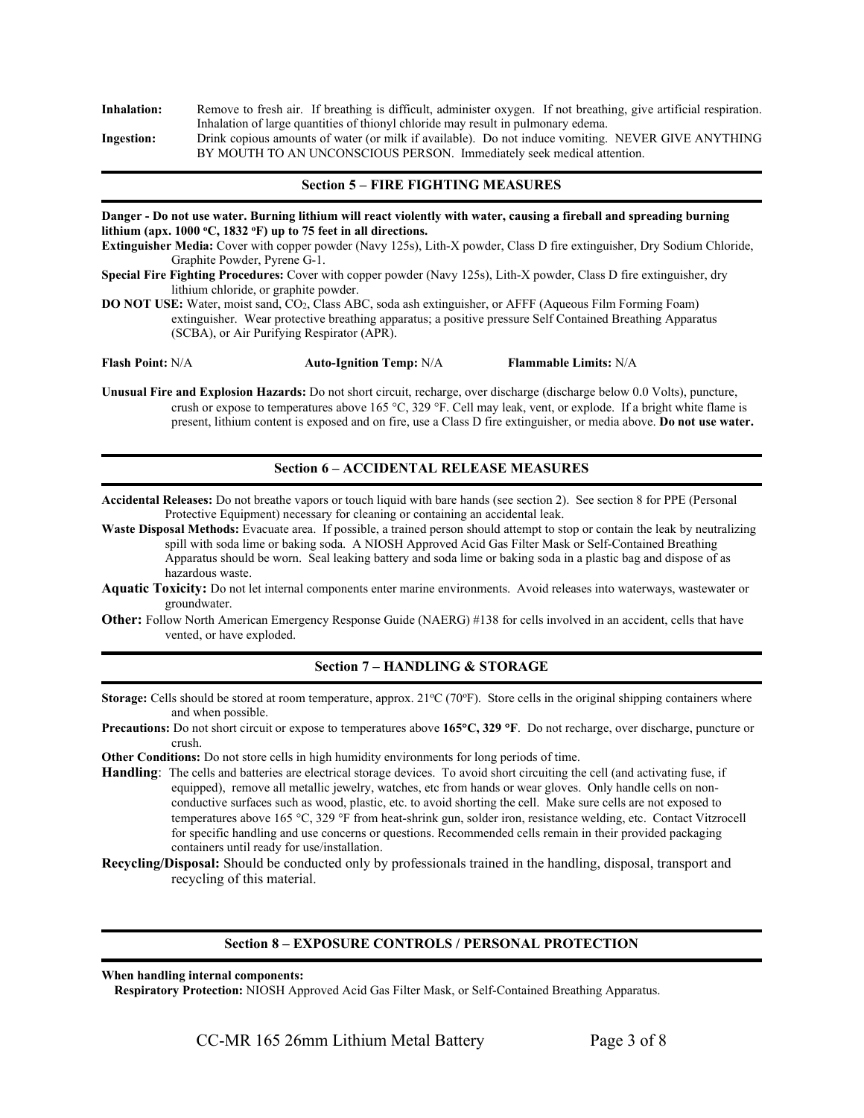| Remove to fresh air. If breathing is difficult, administer oxygen. If not breathing, give artificial respiration. |
|-------------------------------------------------------------------------------------------------------------------|
| Inhalation of large quantities of thionyl chloride may result in pulmonary edema.                                 |
| Drink copious amounts of water (or milk if available). Do not induce vomiting. NEVER GIVE ANYTHING                |
| BY MOUTH TO AN UNCONSCIOUS PERSON. Immediately seek medical attention.                                            |
|                                                                                                                   |

#### Section 5 – FIRE FIGHTING MEASURES

Danger - Do not use water. Burning lithium will react violently with water, causing a fireball and spreading burning lithium (apx.  $1000 °C$ ,  $1832 °F$ ) up to 75 feet in all directions.

Extinguisher Media: Cover with copper powder (Navy 125s), Lith-X powder, Class D fire extinguisher, Dry Sodium Chloride, Graphite Powder, Pyrene G-1.

Special Fire Fighting Procedures: Cover with copper powder (Navy 125s), Lith-X powder, Class D fire extinguisher, dry lithium chloride, or graphite powder.

DO NOT USE: Water, moist sand, CO2, Class ABC, soda ash extinguisher, or AFFF (Aqueous Film Forming Foam) extinguisher. Wear protective breathing apparatus; a positive pressure Self Contained Breathing Apparatus (SCBA), or Air Purifying Respirator (APR).

Flash Point: N/A **Auto-Ignition Temp: N/A** Flammable Limits: N/A

Unusual Fire and Explosion Hazards: Do not short circuit, recharge, over discharge (discharge below 0.0 Volts), puncture, crush or expose to temperatures above  $165 \degree C$ ,  $329 \degree F$ . Cell may leak, vent, or explode. If a bright white flame is present, lithium content is exposed and on fire, use a Class D fire extinguisher, or media above. Do not use water.

#### Section 6 – ACCIDENTAL RELEASE MEASURES

Accidental Releases: Do not breathe vapors or touch liquid with bare hands (see section 2). See section 8 for PPE (Personal Protective Equipment) necessary for cleaning or containing an accidental leak.

Waste Disposal Methods: Evacuate area. If possible, a trained person should attempt to stop or contain the leak by neutralizing spill with soda lime or baking soda. A NIOSH Approved Acid Gas Filter Mask or Self-Contained Breathing Apparatus should be worn. Seal leaking battery and soda lime or baking soda in a plastic bag and dispose of as hazardous waste.

Aquatic Toxicity: Do not let internal components enter marine environments. Avoid releases into waterways, wastewater or groundwater.

Other: Follow North American Emergency Response Guide (NAERG) #138 for cells involved in an accident, cells that have vented, or have exploded.

## Section 7 – HANDLING & STORAGE

Storage: Cells should be stored at room temperature, approx.  $21^{\circ}C(70^{\circ}F)$ . Store cells in the original shipping containers where and when possible.

Precautions: Do not short circuit or expose to temperatures above 165°C, 329 °F. Do not recharge, over discharge, puncture or crush.

Other Conditions: Do not store cells in high humidity environments for long periods of time.

Handling: The cells and batteries are electrical storage devices. To avoid short circuiting the cell (and activating fuse, if equipped), remove all metallic jewelry, watches, etc from hands or wear gloves. Only handle cells on nonconductive surfaces such as wood, plastic, etc. to avoid shorting the cell. Make sure cells are not exposed to temperatures above 165 °C, 329 °F from heat-shrink gun, solder iron, resistance welding, etc. Contact Vitzrocell for specific handling and use concerns or questions. Recommended cells remain in their provided packaging containers until ready for use/installation.

Recycling/Disposal: Should be conducted only by professionals trained in the handling, disposal, transport and recycling of this material.

#### Section 8 – EXPOSURE CONTROLS / PERSONAL PROTECTION

When handling internal components:

Respiratory Protection: NIOSH Approved Acid Gas Filter Mask, or Self-Contained Breathing Apparatus.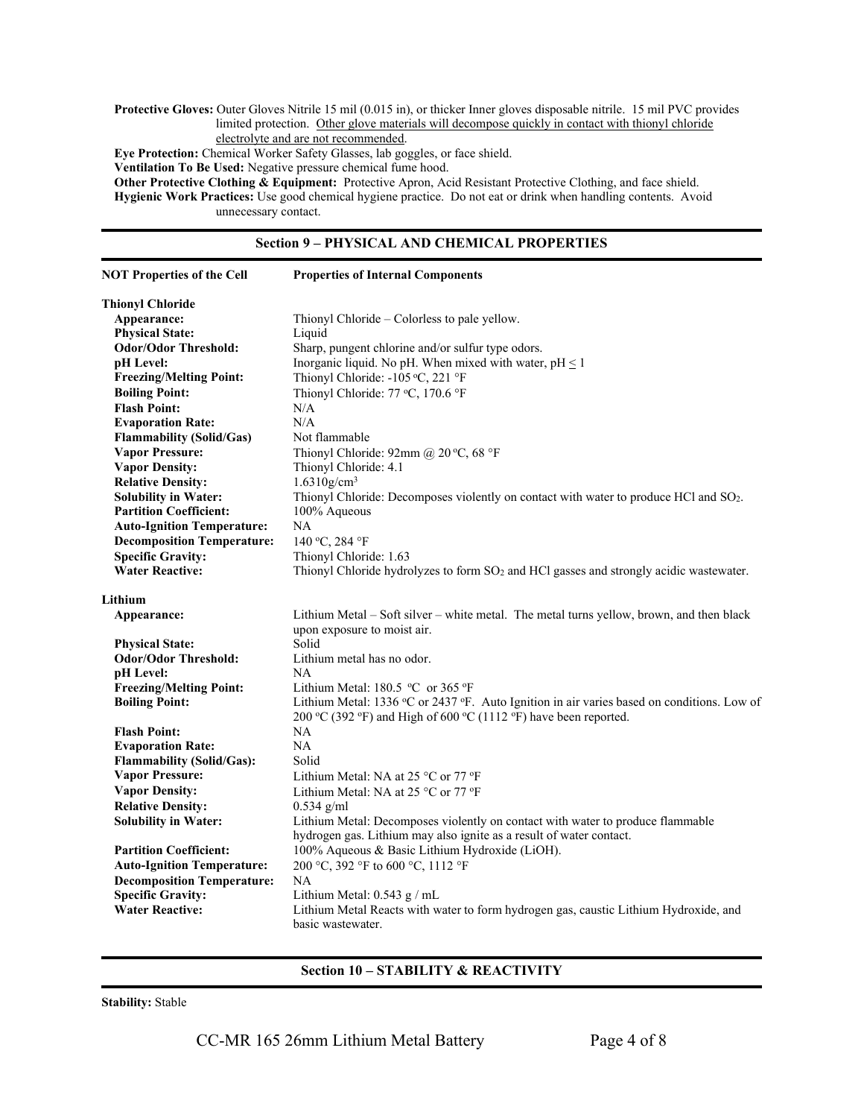Protective Gloves: Outer Gloves Nitrile 15 mil (0.015 in), or thicker Inner gloves disposable nitrile. 15 mil PVC provides limited protection. Other glove materials will decompose quickly in contact with thionyl chloride electrolyte and are not recommended.

Eye Protection: Chemical Worker Safety Glasses, lab goggles, or face shield.

Ventilation To Be Used: Negative pressure chemical fume hood.

Other Protective Clothing & Equipment: Protective Apron, Acid Resistant Protective Clothing, and face shield. Hygienic Work Practices: Use good chemical hygiene practice. Do not eat or drink when handling contents. Avoid unnecessary contact.

#### Section 9 – PHYSICAL AND CHEMICAL PROPERTIES

| <b>NOT Properties of the Cell</b> | <b>Properties of Internal Components</b>                                                           |
|-----------------------------------|----------------------------------------------------------------------------------------------------|
| <b>Thionyl Chloride</b>           |                                                                                                    |
| Appearance:                       | Thionyl Chloride – Colorless to pale yellow.                                                       |
| <b>Physical State:</b>            | Liquid                                                                                             |
| <b>Odor/Odor Threshold:</b>       | Sharp, pungent chlorine and/or sulfur type odors.                                                  |
| pH Level:                         | Inorganic liquid. No pH. When mixed with water, $pH \leq 1$                                        |
| <b>Freezing/Melting Point:</b>    | Thionyl Chloride: -105 °C, 221 °F                                                                  |
| <b>Boiling Point:</b>             | Thionyl Chloride: 77 °C, 170.6 °F                                                                  |
| <b>Flash Point:</b>               | N/A                                                                                                |
| <b>Evaporation Rate:</b>          | N/A                                                                                                |
| <b>Flammability (Solid/Gas)</b>   | Not flammable                                                                                      |
| <b>Vapor Pressure:</b>            | Thionyl Chloride: 92mm @ 20 °C, 68 °F                                                              |
| <b>Vapor Density:</b>             | Thionyl Chloride: 4.1                                                                              |
| <b>Relative Density:</b>          | $1.6310$ g/cm <sup>3</sup>                                                                         |
| <b>Solubility in Water:</b>       | Thionyl Chloride: Decomposes violently on contact with water to produce HCl and SO <sub>2</sub> .  |
| <b>Partition Coefficient:</b>     | 100% Aqueous                                                                                       |
| <b>Auto-Ignition Temperature:</b> | NA                                                                                                 |
| <b>Decomposition Temperature:</b> | 140 °C, 284 °F                                                                                     |
| <b>Specific Gravity:</b>          | Thionyl Chloride: 1.63                                                                             |
| <b>Water Reactive:</b>            | Thionyl Chloride hydrolyzes to form SO <sub>2</sub> and HCl gasses and strongly acidic wastewater. |
|                                   |                                                                                                    |
| Lithium                           |                                                                                                    |
| Appearance:                       | Lithium Metal – Soft silver – white metal. The metal turns yellow, brown, and then black           |
|                                   | upon exposure to moist air.                                                                        |
| <b>Physical State:</b>            | Solid                                                                                              |
| <b>Odor/Odor Threshold:</b>       | Lithium metal has no odor.                                                                         |
| pH Level:                         | NA                                                                                                 |
| <b>Freezing/Melting Point:</b>    | Lithium Metal: 180.5 °C or 365 °F                                                                  |
| <b>Boiling Point:</b>             | Lithium Metal: 1336 °C or 2437 °F. Auto Ignition in air varies based on conditions. Low of         |
|                                   | 200 °C (392 °F) and High of 600 °C (1112 °F) have been reported.                                   |
| <b>Flash Point:</b>               | <b>NA</b>                                                                                          |
| <b>Evaporation Rate:</b>          | NA                                                                                                 |
| <b>Flammability (Solid/Gas):</b>  | Solid                                                                                              |
| <b>Vapor Pressure:</b>            | Lithium Metal: NA at 25 °C or 77 °F                                                                |
| <b>Vapor Density:</b>             | Lithium Metal: NA at 25 °C or 77 °F                                                                |
| <b>Relative Density:</b>          | $0.534$ g/ml                                                                                       |
| <b>Solubility in Water:</b>       | Lithium Metal: Decomposes violently on contact with water to produce flammable                     |
|                                   | hydrogen gas. Lithium may also ignite as a result of water contact.                                |
| <b>Partition Coefficient:</b>     | 100% Aqueous & Basic Lithium Hydroxide (LiOH).                                                     |
| <b>Auto-Ignition Temperature:</b> | 200 °C, 392 °F to 600 °C, 1112 °F                                                                  |
| <b>Decomposition Temperature:</b> | <b>NA</b>                                                                                          |
| <b>Specific Gravity:</b>          | Lithium Metal: $0.543$ g / mL                                                                      |
| <b>Water Reactive:</b>            | Lithium Metal Reacts with water to form hydrogen gas, caustic Lithium Hydroxide, and               |
|                                   | basic wastewater.                                                                                  |

# Section 10 – STABILITY & REACTIVITY

Stability: Stable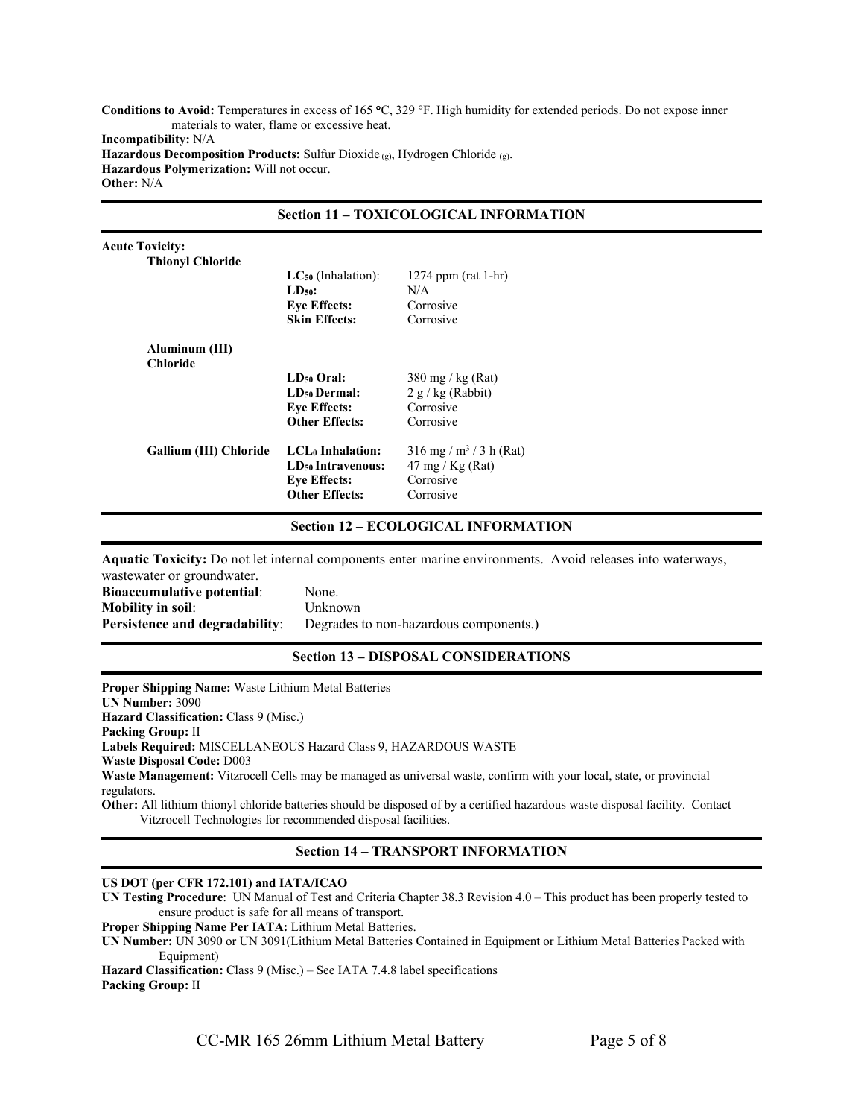Conditions to Avoid: Temperatures in excess of 165 °C, 329 °F. High humidity for extended periods. Do not expose inner materials to water, flame or excessive heat. Incompatibility: N/A Hazardous Decomposition Products: Sulfur Dioxide  $(g)$ , Hydrogen Chloride  $(g)$ . Hazardous Polymerization: Will not occur. Other: N/A

|                                   | <b>Section 11 - TOXICOLOGICAL INFORMATION</b>                                                                 |                                                                                               |  |
|-----------------------------------|---------------------------------------------------------------------------------------------------------------|-----------------------------------------------------------------------------------------------|--|
| <b>Acute Toxicity:</b>            |                                                                                                               |                                                                                               |  |
| <b>Thionyl Chloride</b>           |                                                                                                               |                                                                                               |  |
|                                   | $LC_{50}$ (Inhalation):                                                                                       | 1274 ppm (rat 1-hr)                                                                           |  |
|                                   | $LD_{50}$ :                                                                                                   | N/A                                                                                           |  |
|                                   | <b>Eye Effects:</b>                                                                                           | Corrosive                                                                                     |  |
|                                   | <b>Skin Effects:</b>                                                                                          | Corrosive                                                                                     |  |
| Aluminum (III)<br><b>Chloride</b> |                                                                                                               |                                                                                               |  |
|                                   | $LD_{50}$ Oral:                                                                                               | $380 \text{ mg}$ / kg (Rat)                                                                   |  |
|                                   | <b>LD<sub>50</sub></b> Dermal:                                                                                | $2 g/kg$ (Rabbit)                                                                             |  |
|                                   | <b>Eye Effects:</b>                                                                                           | Corrosive                                                                                     |  |
|                                   | <b>Other Effects:</b>                                                                                         | Corrosive                                                                                     |  |
| Gallium (III) Chloride            | LCL <sub>0</sub> Inhalation:<br>LD <sub>50</sub> Intravenous:<br><b>Eye Effects:</b><br><b>Other Effects:</b> | $316$ mg / m <sup>3</sup> / 3 h (Rat)<br>$47 \text{ mg}$ / Kg (Rat)<br>Corrosive<br>Corrosive |  |
|                                   |                                                                                                               |                                                                                               |  |

#### Section 12 – ECOLOGICAL INFORMATION

Aquatic Toxicity: Do not let internal components enter marine environments. Avoid releases into waterways,

| wastewater or groundwater.            |                                        |
|---------------------------------------|----------------------------------------|
| <b>Bioaccumulative potential:</b>     | None.                                  |
| Mobility in soil:                     | Unknown                                |
| <b>Persistence and degradability:</b> | Degrades to non-hazardous components.) |
|                                       |                                        |

#### Section 13 – DISPOSAL CONSIDERATIONS

Proper Shipping Name: Waste Lithium Metal Batteries UN Number: 3090 Hazard Classification: Class 9 (Misc.) Packing Group: II Labels Required: MISCELLANEOUS Hazard Class 9, HAZARDOUS WASTE Waste Disposal Code: D003 Waste Management: Vitzrocell Cells may be managed as universal waste, confirm with your local, state, or provincial regulators. Other: All lithium thionyl chloride batteries should be disposed of by a certified hazardous waste disposal facility. Contact

Vitzrocell Technologies for recommended disposal facilities.

## Section 14 – TRANSPORT INFORMATION

#### US DOT (per CFR 172.101) and IATA/ICAO

UN Testing Procedure: UN Manual of Test and Criteria Chapter 38.3 Revision 4.0 – This product has been properly tested to ensure product is safe for all means of transport.

Proper Shipping Name Per IATA: Lithium Metal Batteries.

UN Number: UN 3090 or UN 3091(Lithium Metal Batteries Contained in Equipment or Lithium Metal Batteries Packed with Equipment)

Hazard Classification: Class 9 (Misc.) – See IATA 7.4.8 label specifications Packing Group: II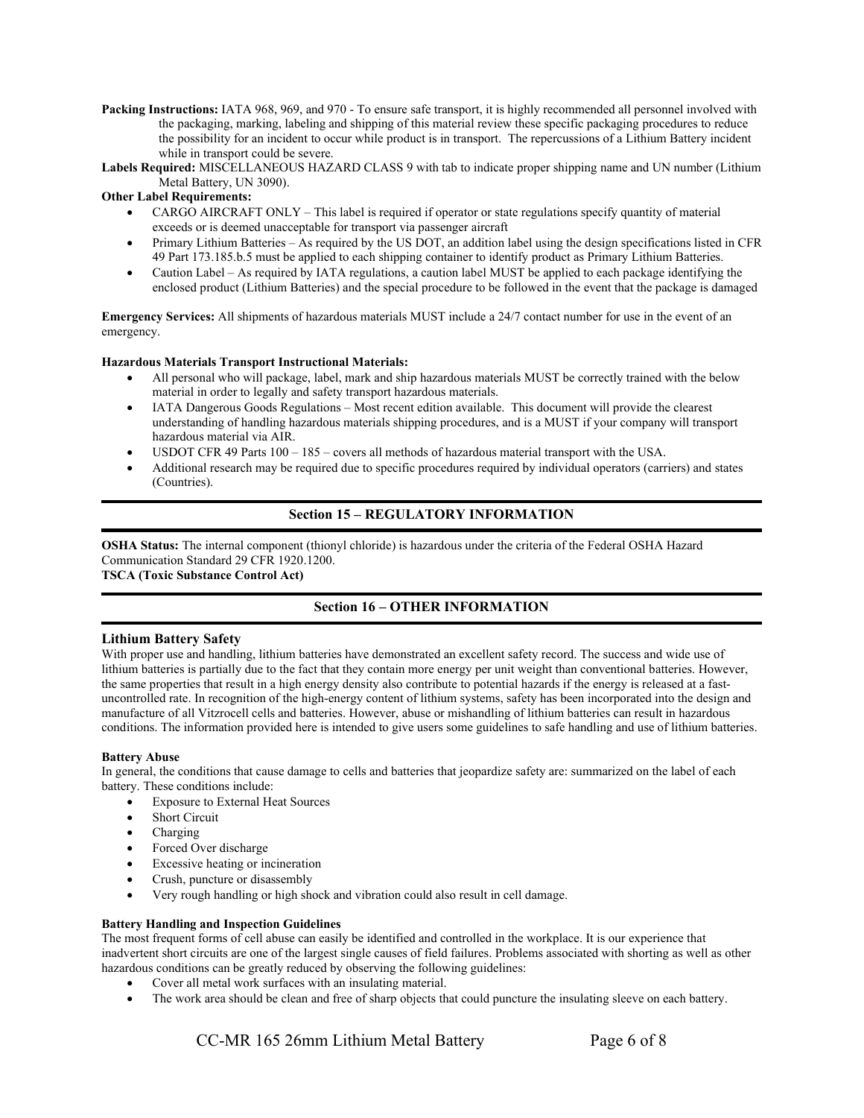Packing Instructions: IATA 968, 969, and 970 - To ensure safe transport, it is highly recommended all personnel involved with the packaging, marking, labeling and shipping of this material review these specific packaging procedures to reduce the possibility for an incident to occur while product is in transport. The repercussions of a Lithium Battery incident while in transport could be severe.

Labels Required: MISCELLANEOUS HAZARD CLASS 9 with tab to indicate proper shipping name and UN number (Lithium Metal Battery, UN 3090).

### Other Label Requirements:

- CARGO AIRCRAFT ONLY This label is required if operator or state regulations specify quantity of material exceeds or is deemed unacceptable for transport via passenger aircraft
- Primary Lithium Batteries As required by the US DOT, an addition label using the design specifications listed in CFR 49 Part 173.185.b.5 must be applied to each shipping container to identify product as Primary Lithium Batteries.
- Caution Label As required by IATA regulations, a caution label MUST be applied to each package identifying the enclosed product (Lithium Batteries) and the special procedure to be followed in the event that the package is damaged

Emergency Services: All shipments of hazardous materials MUST include a 24/7 contact number for use in the event of an emergency.

#### Hazardous Materials Transport Instructional Materials:

- All personal who will package, label, mark and ship hazardous materials MUST be correctly trained with the below material in order to legally and safety transport hazardous materials.
- IATA Dangerous Goods Regulations Most recent edition available. This document will provide the clearest understanding of handling hazardous materials shipping procedures, and is a MUST if your company will transport hazardous material via AIR.
- USDOT CFR 49 Parts 100 185 covers all methods of hazardous material transport with the USA.
- Additional research may be required due to specific procedures required by individual operators (carriers) and states (Countries).

# Section 15 – REGULATORY INFORMATION

OSHA Status: The internal component (thionyl chloride) is hazardous under the criteria of the Federal OSHA Hazard Communication Standard 29 CFR 1920.1200.

# TSCA (Toxic Substance Control Act)

# Section 16 – OTHER INFORMATION

#### Lithium Battery Safety

With proper use and handling, lithium batteries have demonstrated an excellent safety record. The success and wide use of lithium batteries is partially due to the fact that they contain more energy per unit weight than conventional batteries. However, the same properties that result in a high energy density also contribute to potential hazards if the energy is released at a fastuncontrolled rate. In recognition of the high-energy content of lithium systems, safety has been incorporated into the design and manufacture of all Vitzrocell cells and batteries. However, abuse or mishandling of lithium batteries can result in hazardous conditions. The information provided here is intended to give users some guidelines to safe handling and use of lithium batteries.

#### Battery Abuse

In general, the conditions that cause damage to cells and batteries that jeopardize safety are: summarized on the label of each battery. These conditions include:

- Exposure to External Heat Sources
- Short Circuit
- Charging
- Forced Over discharge
- Excessive heating or incineration
- Crush, puncture or disassembly
- Very rough handling or high shock and vibration could also result in cell damage.

#### Battery Handling and Inspection Guidelines

The most frequent forms of cell abuse can easily be identified and controlled in the workplace. It is our experience that inadvertent short circuits are one of the largest single causes of field failures. Problems associated with shorting as well as other hazardous conditions can be greatly reduced by observing the following guidelines:

- Cover all metal work surfaces with an insulating material.
- The work area should be clean and free of sharp objects that could puncture the insulating sleeve on each battery.

CC-MR 165 26mm Lithium Metal Battery Page 6 of 8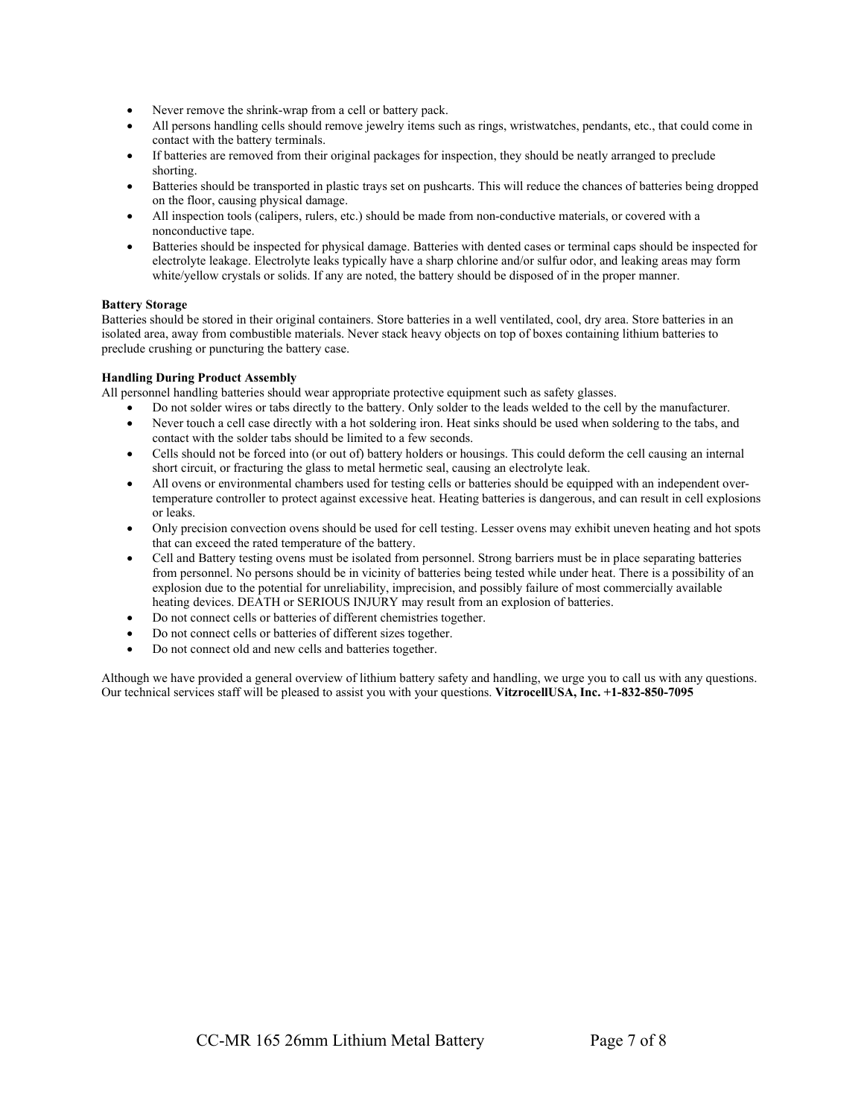- Never remove the shrink-wrap from a cell or battery pack.
- All persons handling cells should remove jewelry items such as rings, wristwatches, pendants, etc., that could come in contact with the battery terminals.
- If batteries are removed from their original packages for inspection, they should be neatly arranged to preclude shorting.
- Batteries should be transported in plastic trays set on pushcarts. This will reduce the chances of batteries being dropped on the floor, causing physical damage.
- All inspection tools (calipers, rulers, etc.) should be made from non-conductive materials, or covered with a nonconductive tape.
- Batteries should be inspected for physical damage. Batteries with dented cases or terminal caps should be inspected for electrolyte leakage. Electrolyte leaks typically have a sharp chlorine and/or sulfur odor, and leaking areas may form white/yellow crystals or solids. If any are noted, the battery should be disposed of in the proper manner.

#### Battery Storage

Batteries should be stored in their original containers. Store batteries in a well ventilated, cool, dry area. Store batteries in an isolated area, away from combustible materials. Never stack heavy objects on top of boxes containing lithium batteries to preclude crushing or puncturing the battery case.

#### Handling During Product Assembly

All personnel handling batteries should wear appropriate protective equipment such as safety glasses.

- Do not solder wires or tabs directly to the battery. Only solder to the leads welded to the cell by the manufacturer.
- Never touch a cell case directly with a hot soldering iron. Heat sinks should be used when soldering to the tabs, and contact with the solder tabs should be limited to a few seconds.
- Cells should not be forced into (or out of) battery holders or housings. This could deform the cell causing an internal short circuit, or fracturing the glass to metal hermetic seal, causing an electrolyte leak.
- All ovens or environmental chambers used for testing cells or batteries should be equipped with an independent overtemperature controller to protect against excessive heat. Heating batteries is dangerous, and can result in cell explosions or leaks.
- Only precision convection ovens should be used for cell testing. Lesser ovens may exhibit uneven heating and hot spots that can exceed the rated temperature of the battery.
- Cell and Battery testing ovens must be isolated from personnel. Strong barriers must be in place separating batteries from personnel. No persons should be in vicinity of batteries being tested while under heat. There is a possibility of an explosion due to the potential for unreliability, imprecision, and possibly failure of most commercially available heating devices. DEATH or SERIOUS INJURY may result from an explosion of batteries.
- Do not connect cells or batteries of different chemistries together.
- Do not connect cells or batteries of different sizes together.
- Do not connect old and new cells and batteries together.

Although we have provided a general overview of lithium battery safety and handling, we urge you to call us with any questions. Our technical services staff will be pleased to assist you with your questions. VitzrocellUSA, Inc. +1-832-850-7095